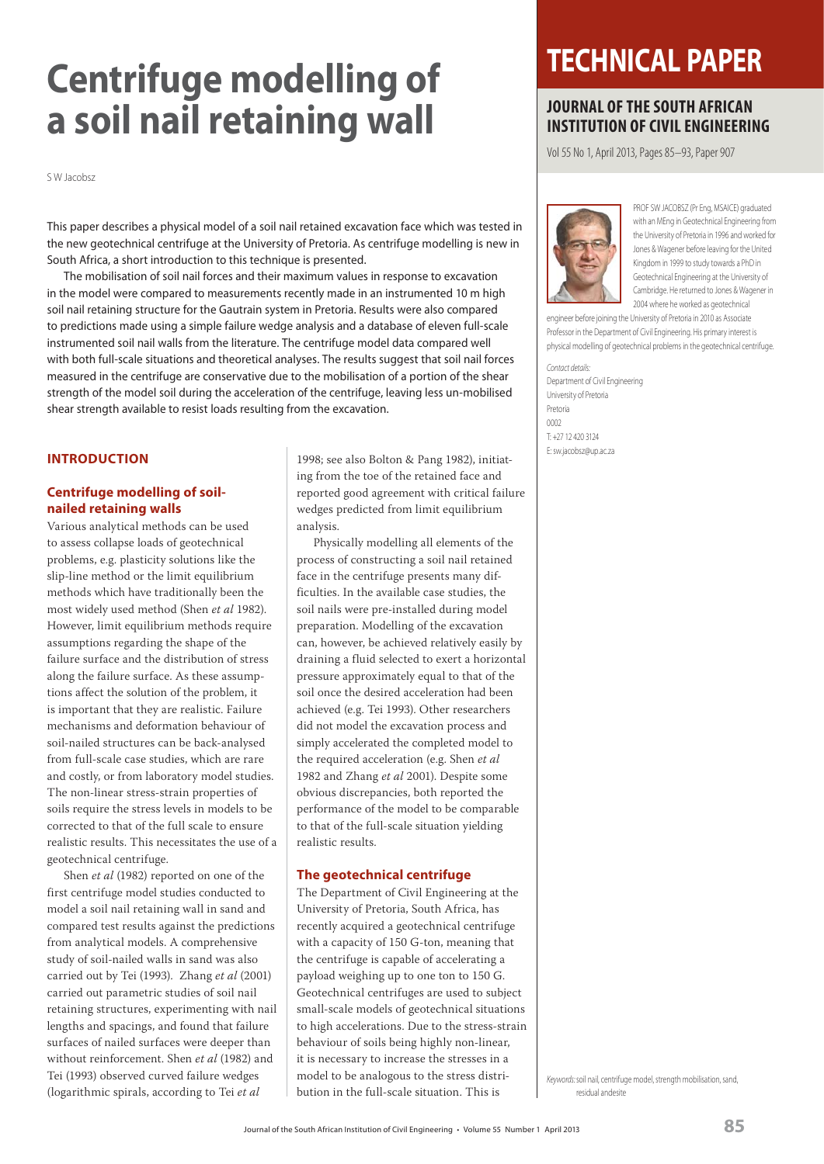# **Centrifuge modelling of a soil nail retaining wall**

S W Jacobsz

This paper describes a physical model of a soil nail retained excavation face which was tested in the new geotechnical centrifuge at the University of Pretoria. As centrifuge modelling is new in South Africa, a short introduction to this technique is presented.

 The mobilisation of soil nail forces and their maximum values in response to excavation in the model were compared to measurements recently made in an instrumented 10 m high soil nail retaining structure for the Gautrain system in Pretoria. Results were also compared to predictions made using a simple failure wedge analysis and a database of eleven full-scale instrumented soil nail walls from the literature. The centrifuge model data compared well with both full-scale situations and theoretical analyses. The results suggest that soil nail forces measured in the centrifuge are conservative due to the mobilisation of a portion of the shear strength of the model soil during the acceleration of the centrifuge, leaving less un-mobilised shear strength available to resist loads resulting from the excavation.

## **INTRODUCTION**

## **Centrifuge modelling of soilnailed retaining walls**

Various analytical methods can be used to assess collapse loads of geotechnical problems, e.g. plasticity solutions like the slip-line method or the limit equilibrium methods which have traditionally been the most widely used method (Shen *et al* 1982). However, limit equilibrium methods require assumptions regarding the shape of the failure surface and the distribution of stress along the failure surface. As these assumptions affect the solution of the problem, it is important that they are realistic. Failure mechanisms and deformation behaviour of soil-nailed structures can be back-analysed from full-scale case studies, which are rare and costly, or from laboratory model studies. The non-linear stress-strain properties of soils require the stress levels in models to be corrected to that of the full scale to ensure realistic results. This necessitates the use of a geotechnical centrifuge.

Shen *et al* (1982) reported on one of the first centrifuge model studies conducted to model a soil nail retaining wall in sand and compared test results against the predictions from analytical models. A comprehensive study of soil-nailed walls in sand was also carried out by Tei (1993). Zhang *et al* (2001) carried out parametric studies of soil nail retaining structures, experimenting with nail lengths and spacings, and found that failure surfaces of nailed surfaces were deeper than without reinforcement. Shen *et al* (1982) and Tei (1993) observed curved failure wedges (logarithmic spirals, according to Tei *et al*

1998; see also Bolton & Pang 1982), initiating from the toe of the retained face and reported good agreement with critical failure wedges predicted from limit equilibrium analysis.

Physically modelling all elements of the process of constructing a soil nail retained face in the centrifuge presents many difficulties. In the available case studies, the soil nails were pre-installed during model preparation. Modelling of the excavation can, however, be achieved relatively easily by draining a fluid selected to exert a horizontal pressure approximately equal to that of the soil once the desired acceleration had been achieved (e.g. Tei 1993). Other researchers did not model the excavation process and simply accelerated the completed model to the required acceleration (e.g. Shen *et al* 1982 and Zhang *et al* 2001). Despite some obvious discrepancies, both reported the performance of the model to be comparable to that of the full-scale situation yielding realistic results.

## **The geotechnical centrifuge**

The Department of Civil Engineering at the University of Pretoria, South Africa, has recently acquired a geotechnical centrifuge with a capacity of 150 G-ton, meaning that the centrifuge is capable of accelerating a payload weighing up to one ton to 150 G. Geotechnical centrifuges are used to subject small-scale models of geotechnical situations to high accelerations. Due to the stress-strain behaviour of soils being highly non-linear, it is necessary to increase the stresses in a model to be analogous to the stress distribution in the full-scale situation. This is

## **TECHNICAL PAPER**

## **JOURNAL OF THE SOUTH AFRICAN INSTITUTION OF CIVIL ENGINEERING**

Vol 55 No 1, April 2013, Pages 85–93, Paper 907



 PROF SW JACOBSZ (Pr Eng, MSAICE) graduated with an MEng in Geotechnical Engineering from the University of Pretoria in 1996 and worked for Jones & Wagener before leaving for the United Kingdom in 1999 to study towards a PhD in Geotechnical Engineering at the University of Cambridge. He returned to Jones & Wagener in 2004 where he worked as geotechnical

engineer before joining the University of Pretoria in 2010 as Associate Professor in the Department of Civil Engineering. His primary interest is physical modelling of geotechnical problems in the geotechnical centrifuge.

Contact details: Department of Civil Engineering University of Pretoria Pretoria  $0002$ T: +27 12 420 3124 E: sw.jacobsz@up.ac.za

Keywords: soil nail, centrifuge model, strength mobilisation, sand, residual andesite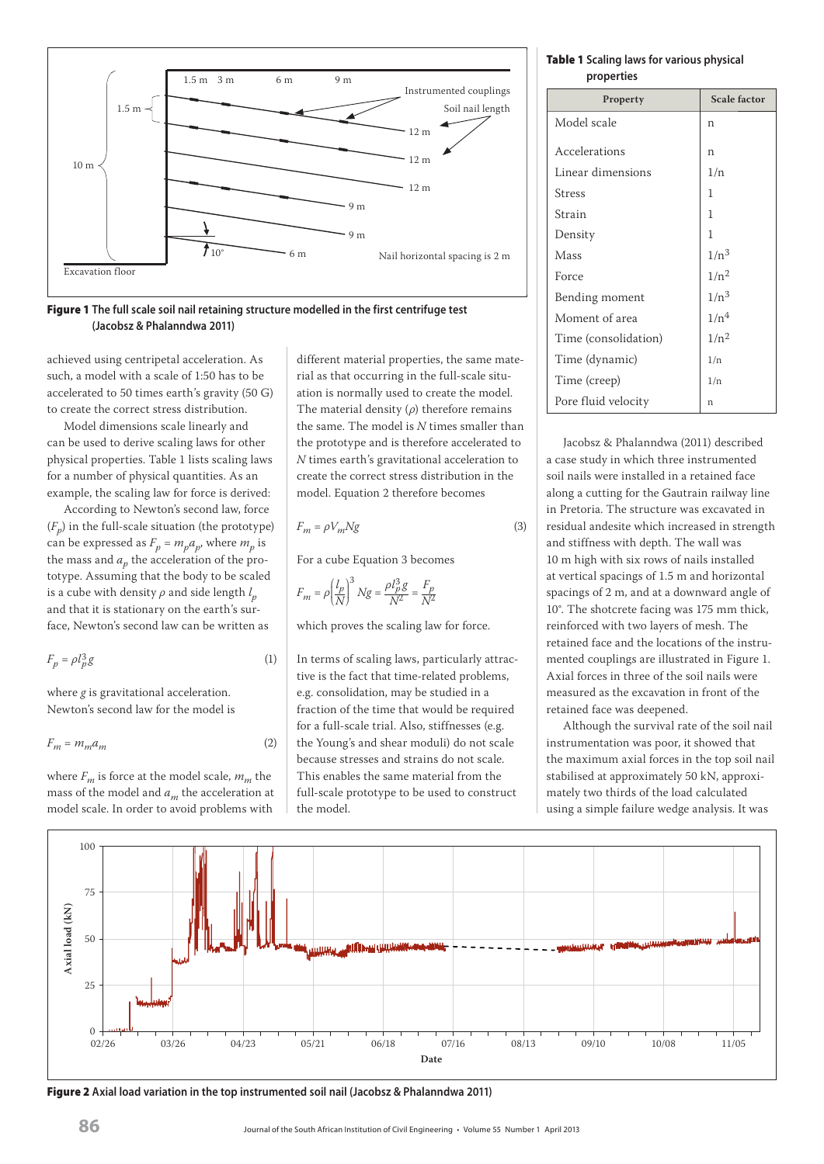



achieved using centripetal acceleration. As such, a model with a scale of 1:50 has to be accelerated to 50 times earth's gravity (50 G) to create the correct stress distribution.

Model dimensions scale linearly and can be used to derive scaling laws for other physical properties. Table 1 lists scaling laws for a number of physical quantities. As an example, the scaling law for force is derived:

According to Newton's second law, force  $(F_n)$  in the full-scale situation (the prototype) can be expressed as  $F_p = m_p a_p$ , where  $m_p$  is the mass and  $a_p$  the acceleration of the prototype. Assuming that the body to be scaled is a cube with density  $\rho$  and side length  $l_p^{}$ and that it is stationary on the earth's surface, Newton's second law can be written as

$$
F_p = \rho l_p^3 g \tag{1}
$$

where *g* is gravitational acceleration. Newton's second law for the model is

$$
F_m = m_m a_m \tag{2}
$$

where  $F_m$  is force at the model scale,  $m_m$  the mass of the model and *am* the acceleration at model scale. In order to avoid problems with different material properties, the same material as that occurring in the full-scale situation is normally used to create the model. The material density (*ρ*) therefore remains the same. The model is *N* times smaller than the prototype and is therefore accelerated to *N* times earth's gravitational acceleration to create the correct stress distribution in the model. Equation 2 therefore becomes

$$
F_m = \rho V_m N g \tag{3}
$$

For a cube Equation 3 becomes

$$
F_m = \rho \bigg( \frac{l_p}{N} \bigg)^3 \, Ng = \frac{\rho l_p^3 g}{N^2} = \frac{F_p}{N^2}
$$

which proves the scaling law for force.

In terms of scaling laws, particularly attractive is the fact that time-related problems, e.g. consolidation, may be studied in a fraction of the time that would be required for a full-scale trial. Also, stiffnesses (e.g. the Young's and shear moduli) do not scale because stresses and strains do not scale. This enables the same material from the full-scale prototype to be used to construct the model.

**Table 1 Scaling laws for various physical properties**

| Property             | <b>Scale factor</b> |
|----------------------|---------------------|
| Model scale          | n                   |
| Accelerations        | n                   |
| Linear dimensions    | 1/n                 |
| Stress               | 1                   |
| Strain               | 1                   |
| Density              | 1                   |
| Mass                 | $1/n^3$             |
| Force                | $1/n^2$             |
| Bending moment       | $1/n^3$             |
| Moment of area       | 1/n <sup>4</sup>    |
| Time (consolidation) | $1/n^2$             |
| Time (dynamic)       | 1/n                 |
| Time (creep)         | 1/n                 |
| Pore fluid velocity  | n                   |

Jacobsz & Phalanndwa (2011) described a case study in which three instrumented soil nails were installed in a retained face along a cutting for the Gautrain railway line in Pretoria. The structure was excavated in residual andesite which increased in strength and stiffness with depth. The wall was 10 m high with six rows of nails installed at vertical spacings of 1.5 m and horizontal spacings of 2 m, and at a downward angle of 10°. The shotcrete facing was 175 mm thick, reinforced with two layers of mesh. The retained face and the locations of the instrumented couplings are illustrated in Figure 1. Axial forces in three of the soil nails were measured as the excavation in front of the retained face was deepened.

Although the survival rate of the soil nail instrumentation was poor, it showed that the maximum axial forces in the top soil nail stabilised at approximately 50 kN, approximately two thirds of the load calculated using a simple failure wedge analysis. It was

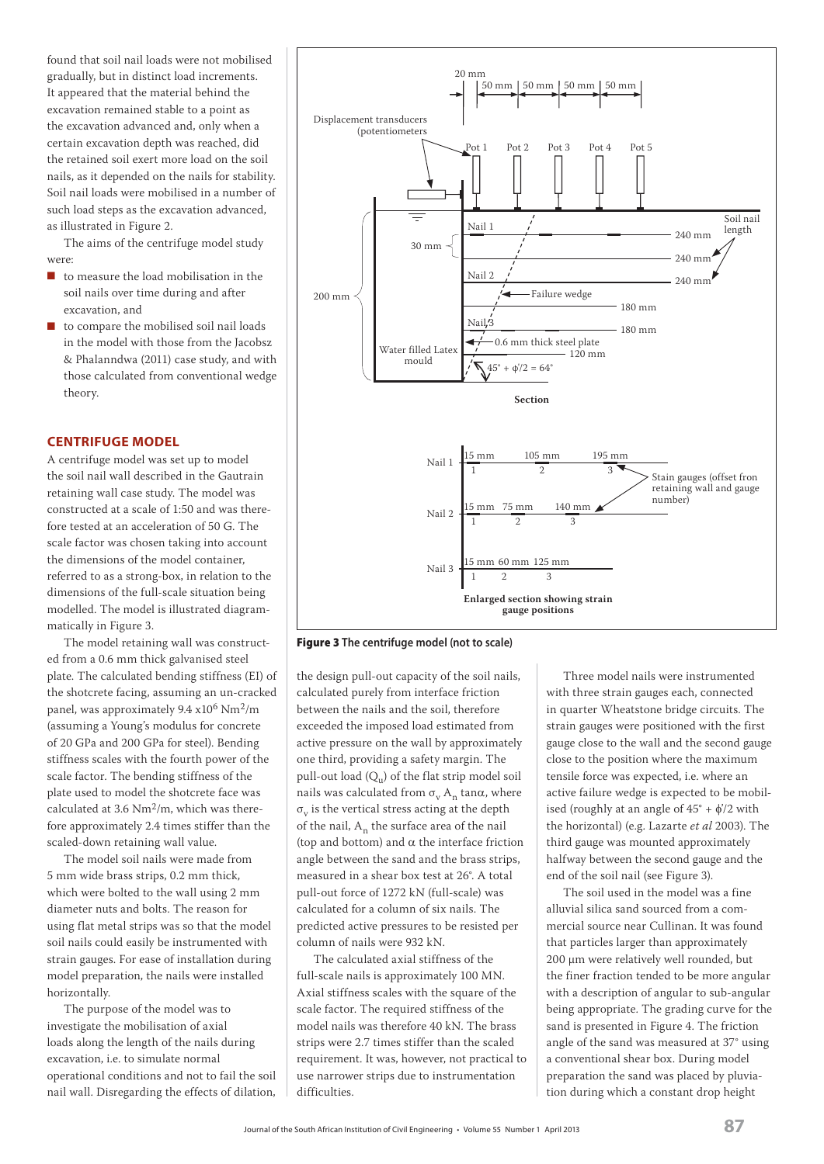found that soil nail loads were not mobilised gradually, but in distinct load increments. It appeared that the material behind the excavation remained stable to a point as the excavation advanced and, only when a certain excavation depth was reached, did the retained soil exert more load on the soil nails, as it depended on the nails for stability. Soil nail loads were mobilised in a number of such load steps as the excavation advanced, as illustrated in Figure 2.

The aims of the centrifuge model study were:

- to measure the load mobilisation in the soil nails over time during and after excavation, and
- to compare the mobilised soil nail loads in the model with those from the Jacobsz & Phalanndwa (2011) case study, and with those calculated from conventional wedge theory.

## **CENTRIFUGE MODEL**

A centrifuge model was set up to model the soil nail wall described in the Gautrain retaining wall case study. The model was constructed at a scale of 1:50 and was therefore tested at an acceleration of 50 G. The scale factor was chosen taking into account the dimensions of the model container, referred to as a strong-box, in relation to the dimensions of the full-scale situation being modelled. The model is illustrated diagrammatically in Figure 3.

The model retaining wall was constructed from a 0.6 mm thick galvanised steel plate. The calculated bending stiffness (EI) of the shotcrete facing, assuming an un-cracked panel, was approximately 9.4 x106 Nm2/m (assuming a Young's modulus for concrete of 20 GPa and 200 GPa for steel). Bending stiffness scales with the fourth power of the scale factor. The bending stiffness of the plate used to model the shotcrete face was calculated at 3.6  $Nm<sup>2</sup>/m$ , which was therefore approximately 2.4 times stiffer than the scaled-down retaining wall value.

The model soil nails were made from 5 mm wide brass strips, 0.2 mm thick, which were bolted to the wall using 2 mm diameter nuts and bolts. The reason for using flat metal strips was so that the model soil nails could easily be instrumented with strain gauges. For ease of installation during model preparation, the nails were installed horizontally.

The purpose of the model was to investigate the mobilisation of axial loads along the length of the nails during excavation, i.e. to simulate normal operational conditions and not to fail the soil nail wall. Disregarding the effects of dilation,



**Figure 3 The centrifuge model (not to scale)**

the design pull-out capacity of the soil nails, calculated purely from interface friction between the nails and the soil, therefore exceeded the imposed load estimated from active pressure on the wall by approximately one third, providing a safety margin. The pull-out load  $(Q<sub>u</sub>)$  of the flat strip model soil nails was calculated from  $\sigma_{\rm v}$  A<sub>n</sub> tan $\alpha$ , where  $\sigma_{\rm v}$  is the vertical stress acting at the depth of the nail,  $A_n$  the surface area of the nail (top and bottom) and  $\alpha$  the interface friction angle between the sand and the brass strips, measured in a shear box test at 26°. A total pull-out force of 1272 kN (full-scale) was calculated for a column of six nails. The predicted active pressures to be resisted per column of nails were 932 kN.

The calculated axial stiffness of the full-scale nails is approximately 100 MN. Axial stiffness scales with the square of the scale factor. The required stiffness of the model nails was therefore 40 kN. The brass strips were 2.7 times stiffer than the scaled requirement. It was, however, not practical to use narrower strips due to instrumentation difficulties.

Three model nails were instrumented with three strain gauges each, connected in quarter Wheatstone bridge circuits. The strain gauges were positioned with the first gauge close to the wall and the second gauge close to the position where the maximum tensile force was expected, i.e. where an active failure wedge is expected to be mobilised (roughly at an angle of  $45^{\circ}$  +  $\phi^{\prime}/2$  with the horizontal) (e.g. Lazarte *et al* 2003). The third gauge was mounted approximately halfway between the second gauge and the end of the soil nail (see Figure 3).

The soil used in the model was a fine alluvial silica sand sourced from a commercial source near Cullinan. It was found that particles larger than approximately 200 μm were relatively well rounded, but the finer fraction tended to be more angular with a description of angular to sub-angular being appropriate. The grading curve for the sand is presented in Figure 4. The friction angle of the sand was measured at 37° using a conventional shear box. During model preparation the sand was placed by pluviation during which a constant drop height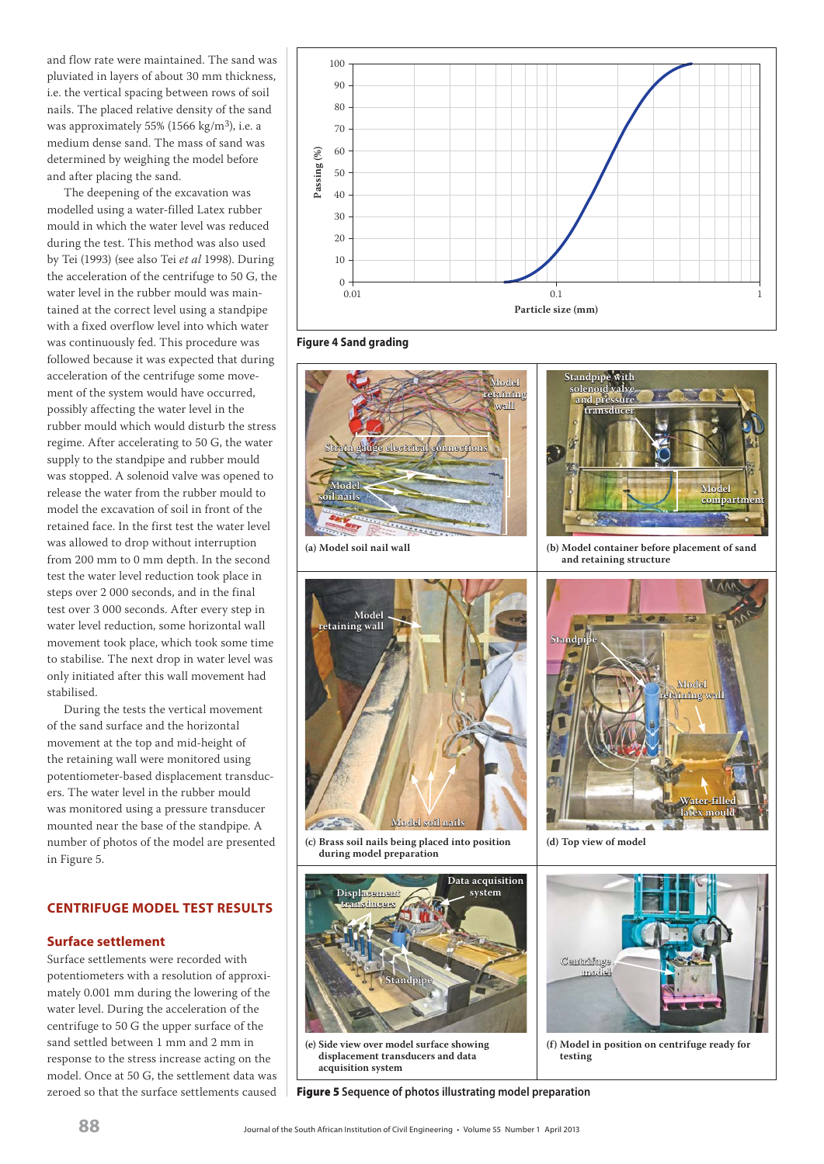and flow rate were maintained. The sand was pluviated in layers of about 30 mm thickness, i.e. the vertical spacing between rows of soil nails. The placed relative density of the sand was approximately 55% (1566 kg/m<sup>3</sup>), i.e. a medium dense sand. The mass of sand was determined by weighing the model before and after placing the sand.

The deepening of the excavation was modelled using a water-filled Latex rubber mould in which the water level was reduced during the test. This method was also used by Tei (1993) (see also Tei *et al* 1998). During the acceleration of the centrifuge to 50 G, the water level in the rubber mould was maintained at the correct level using a standpipe with a fixed overflow level into which water was continuously fed. This procedure was followed because it was expected that during acceleration of the centrifuge some movement of the system would have occurred, possibly affecting the water level in the rubber mould which would disturb the stress regime. After accelerating to 50 G, the water supply to the standpipe and rubber mould was stopped. A solenoid valve was opened to release the water from the rubber mould to model the excavation of soil in front of the retained face. In the first test the water level was allowed to drop without interruption from 200 mm to 0 mm depth. In the second test the water level reduction took place in steps over 2 000 seconds, and in the final test over 3 000 seconds. After every step in water level reduction, some horizontal wall movement took place, which took some time to stabilise. The next drop in water level was only initiated after this wall movement had stabilised.

During the tests the vertical movement of the sand surface and the horizontal movement at the top and mid-height of the retaining wall were monitored using potentiometer-based displacement transducers. The water level in the rubber mould was monitored using a pressure transducer mounted near the base of the standpipe. A number of photos of the model are presented in Figure 5.

## **CENTRIFUGE MODEL TEST RESULTS**

## **Surface settlement**

Surface settlements were recorded with potentiometers with a resolution of approximately 0.001 mm during the lowering of the water level. During the acceleration of the centrifuge to 50 G the upper surface of the sand settled between 1 mm and 2 mm in response to the stress increase acting on the model. Once at 50 G, the settlement data was zeroed so that the surface settlements caused



**Figure 4 Sand grading**





**(c) Brass soil nails being placed into position during model preparation**



**(e) Side view over model surface showing displacement transducers and data acquisition system**

**Figure 5 Sequence of photos illustrating model preparation**





**Standpipe with** solenoi **and pressure nd** 



**latex mould atex mould**

**(f) Model in position on centrifuge ready for testing**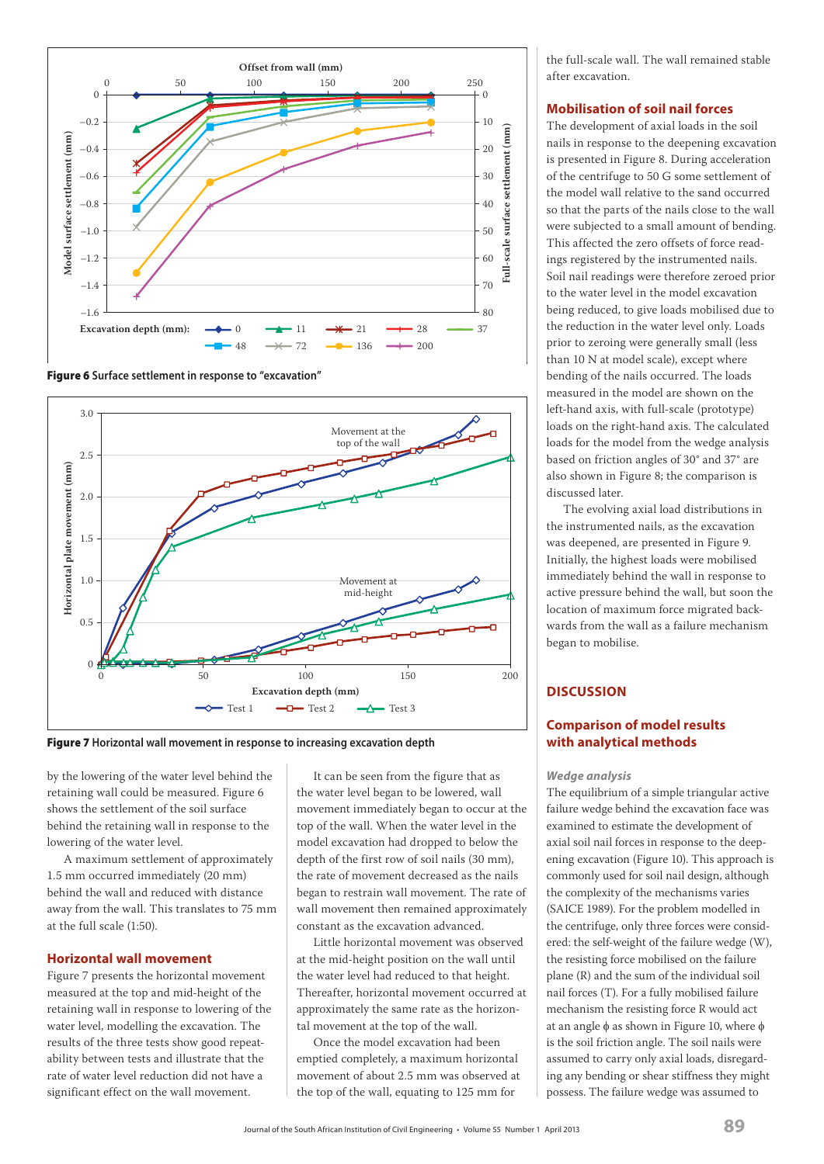

**Figure 6 Surface settlement in response to "excavation"**



by the lowering of the water level behind the retaining wall could be measured. Figure 6 shows the settlement of the soil surface behind the retaining wall in response to the lowering of the water level.

A maximum settlement of approximately 1.5 mm occurred immediately (20 mm) behind the wall and reduced with distance away from the wall. This translates to 75 mm at the full scale (1:50).

## **Horizontal wall movement**

Figure 7 presents the horizontal movement measured at the top and mid-height of the retaining wall in response to lowering of the water level, modelling the excavation. The results of the three tests show good repeatability between tests and illustrate that the rate of water level reduction did not have a significant effect on the wall movement.

It can be seen from the figure that as the water level began to be lowered, wall movement immediately began to occur at the top of the wall. When the water level in the model excavation had dropped to below the depth of the first row of soil nails (30 mm), the rate of movement decreased as the nails began to restrain wall movement. The rate of wall movement then remained approximately constant as the excavation advanced.

Little horizontal movement was observed at the mid-height position on the wall until the water level had reduced to that height. Thereafter, horizontal movement occurred at approximately the same rate as the horizontal movement at the top of the wall.

Once the model excavation had been emptied completely, a maximum horizontal movement of about 2.5 mm was observed at the top of the wall, equating to 125 mm for

the full-scale wall. The wall remained stable after excavation.

## **Mobilisation of soil nail forces**

The development of axial loads in the soil nails in response to the deepening excavation is presented in Figure 8. During acceleration of the centrifuge to 50 G some settlement of the model wall relative to the sand occurred so that the parts of the nails close to the wall were subjected to a small amount of bending. This affected the zero offsets of force readings registered by the instrumented nails. Soil nail readings were therefore zeroed prior to the water level in the model excavation being reduced, to give loads mobilised due to the reduction in the water level only. Loads prior to zeroing were generally small (less than 10 N at model scale), except where bending of the nails occurred. The loads measured in the model are shown on the left-hand axis, with full-scale (prototype) loads on the right-hand axis. The calculated loads for the model from the wedge analysis based on friction angles of 30° and 37° are also shown in Figure 8; the comparison is discussed later.

The evolving axial load distributions in the instrumented nails, as the excavation was deepened, are presented in Figure 9. Initially, the highest loads were mobilised immediately behind the wall in response to active pressure behind the wall, but soon the location of maximum force migrated backwards from the wall as a failure mechanism began to mobilise.

## **DISCUSSION**

## **Comparison of model results with analytical methods**

## *Wedge analysis*

The equilibrium of a simple triangular active failure wedge behind the excavation face was examined to estimate the development of axial soil nail forces in response to the deepening excavation (Figure 10). This approach is commonly used for soil nail design, although the complexity of the mechanisms varies (SAICE 1989). For the problem modelled in the centrifuge, only three forces were considered: the self-weight of the failure wedge (W), the resisting force mobilised on the failure plane (R) and the sum of the individual soil nail forces (T). For a fully mobilised failure mechanism the resisting force R would act at an angle  $\phi$  as shown in Figure 10, where  $\phi$ is the soil friction angle. The soil nails were assumed to carry only axial loads, disregarding any bending or shear stiffness they might possess. The failure wedge was assumed to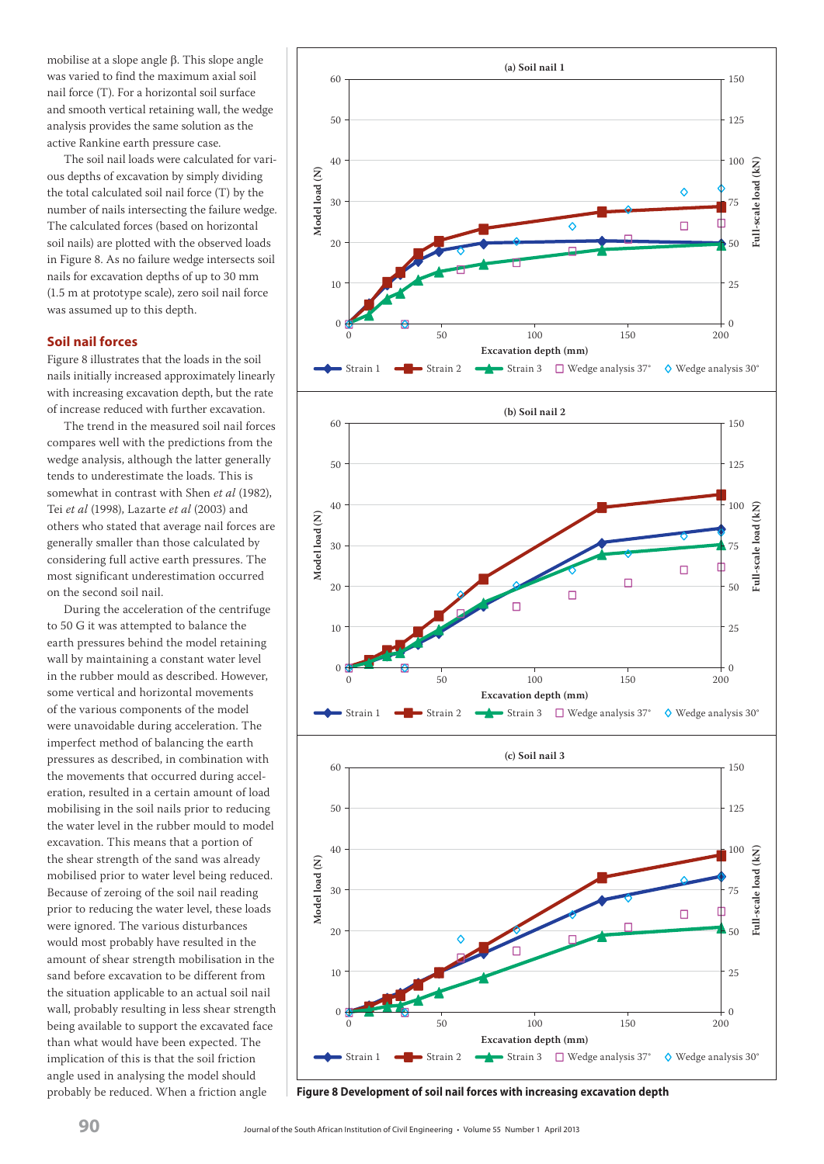mobilise at a slope angle  $\beta$ . This slope angle was varied to find the maximum axial soil nail force (T). For a horizontal soil surface and smooth vertical retaining wall, the wedge analysis provides the same solution as the active Rankine earth pressure case.

The soil nail loads were calculated for various depths of excavation by simply dividing the total calculated soil nail force (T) by the number of nails intersecting the failure wedge. The calculated forces (based on horizontal soil nails) are plotted with the observed loads in Figure 8. As no failure wedge intersects soil nails for excavation depths of up to 30 mm (1.5 m at prototype scale), zero soil nail force was assumed up to this depth.

## **Soil nail forces**

Figure 8 illustrates that the loads in the soil nails initially increased approximately linearly with increasing excavation depth, but the rate of increase reduced with further excavation.

The trend in the measured soil nail forces compares well with the predictions from the wedge analysis, although the latter generally tends to underestimate the loads. This is somewhat in contrast with Shen *et al* (1982), Tei *et al* (1998), Lazarte *et al* (2003) and others who stated that average nail forces are generally smaller than those calculated by considering full active earth pressures. The most significant underestimation occurred on the second soil nail.

During the acceleration of the centrifuge to 50 G it was attempted to balance the earth pressures behind the model retaining wall by maintaining a constant water level in the rubber mould as described. However, some vertical and horizontal movements of the various components of the model were unavoidable during acceleration. The imperfect method of balancing the earth pressures as described, in combination with the movements that occurred during acceleration, resulted in a certain amount of load mobilising in the soil nails prior to reducing the water level in the rubber mould to model excavation. This means that a portion of the shear strength of the sand was already mobilised prior to water level being reduced. Because of zeroing of the soil nail reading prior to reducing the water level, these loads were ignored. The various disturbances would most probably have resulted in the amount of shear strength mobilisation in the sand before excavation to be different from the situation applicable to an actual soil nail wall, probably resulting in less shear strength being available to support the excavated face than what would have been expected. The implication of this is that the soil friction angle used in analysing the model should

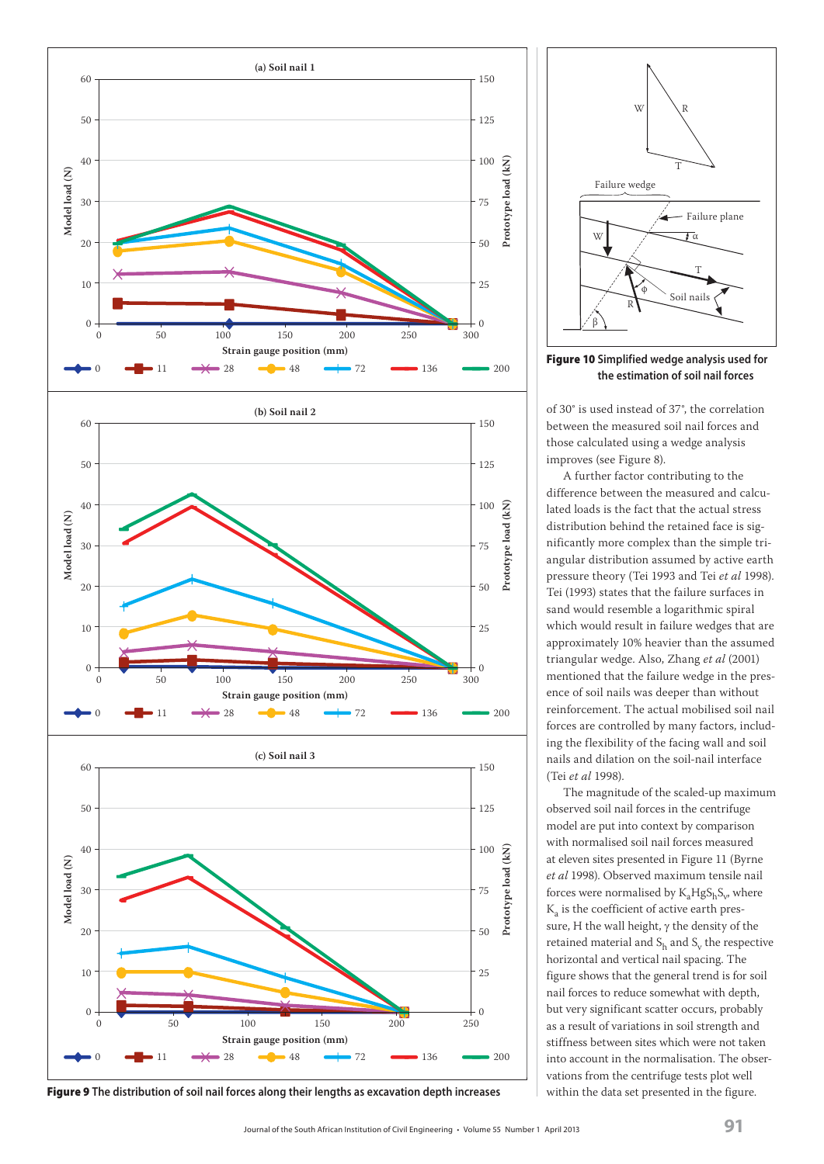



**Figure 10 Simplified wedge analysis used for the estimation of soil nail forces**

of 30° is used instead of 37°, the correlation between the measured soil nail forces and those calculated using a wedge analysis improves (see Figure 8).

A further factor contributing to the difference between the measured and calculated loads is the fact that the actual stress distribution behind the retained face is significantly more complex than the simple triangular distribution assumed by active earth pressure theory (Tei 1993 and Tei *et al* 1998). Tei (1993) states that the failure surfaces in sand would resemble a logarithmic spiral which would result in failure wedges that are approximately 10% heavier than the assumed triangular wedge. Also, Zhang *et al* (2001) mentioned that the failure wedge in the presence of soil nails was deeper than without reinforcement. The actual mobilised soil nail forces are controlled by many factors, including the flexibility of the facing wall and soil nails and dilation on the soil-nail interface (Tei *et al* 1998).

The magnitude of the scaled-up maximum observed soil nail forces in the centrifuge model are put into context by comparison with normalised soil nail forces measured at eleven sites presented in Figure 11 (Byrne *et al* 1998). Observed maximum tensile nail forces were normalised by  $K_aHgS_bS_v$ , where Ka is the coefficient of active earth pressure, H the wall height,  $\gamma$  the density of the retained material and  $S_h$  and  $S_v$  the respective horizontal and vertical nail spacing. The figure shows that the general trend is for soil nail forces to reduce somewhat with depth, but very significant scatter occurs, probably as a result of variations in soil strength and stiffness between sites which were not taken into account in the normalisation. The observations from the centrifuge tests plot well within the data set presented in the figure.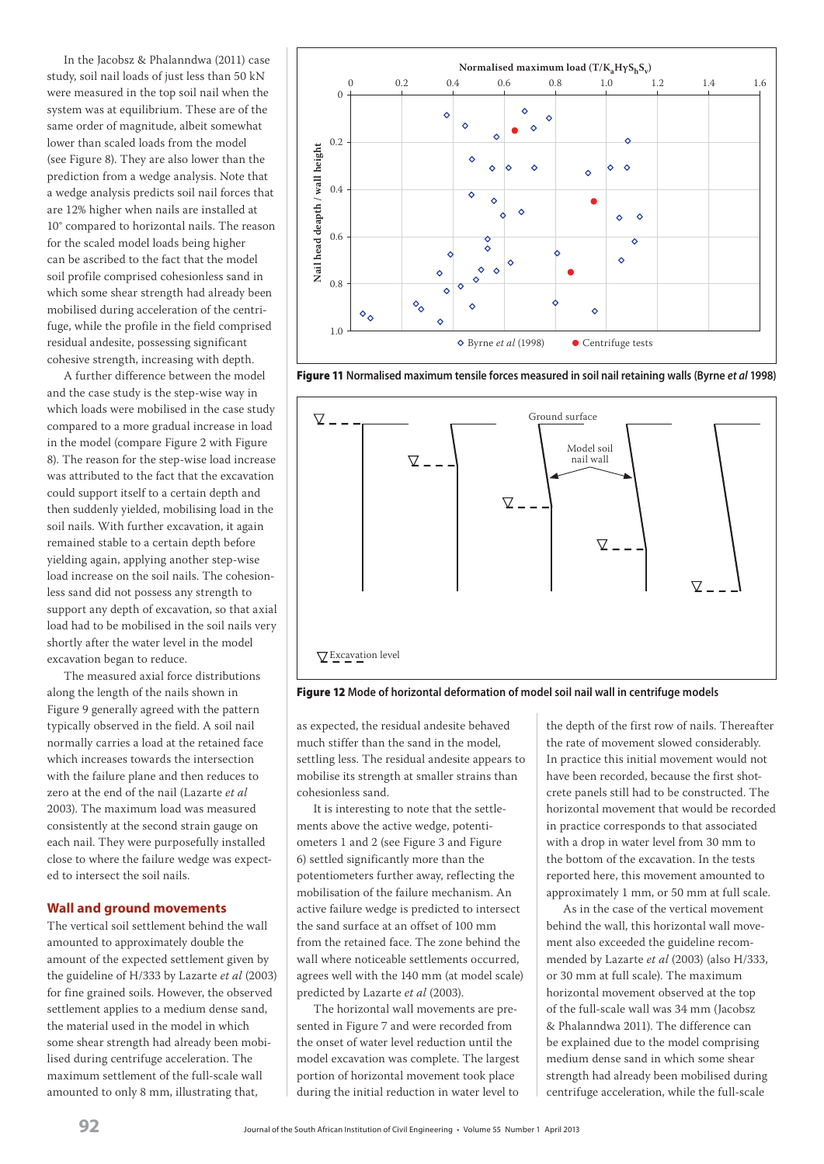In the Jacobsz & Phalanndwa (2011) case study, soil nail loads of just less than 50 kN were measured in the top soil nail when the system was at equilibrium. These are of the same order of magnitude, albeit somewhat lower than scaled loads from the model (see Figure 8). They are also lower than the prediction from a wedge analysis. Note that a wedge analysis predicts soil nail forces that are 12% higher when nails are installed at 10° compared to horizontal nails. The reason for the scaled model loads being higher can be ascribed to the fact that the model soil profile comprised cohesionless sand in which some shear strength had already been mobilised during acceleration of the centrifuge, while the profile in the field comprised residual andesite, possessing significant cohesive strength, increasing with depth.

A further difference between the model and the case study is the step-wise way in which loads were mobilised in the case study compared to a more gradual increase in load in the model (compare Figure 2 with Figure 8). The reason for the step-wise load increase was attributed to the fact that the excavation could support itself to a certain depth and then suddenly yielded, mobilising load in the soil nails. With further excavation, it again remained stable to a certain depth before yielding again, applying another step-wise load increase on the soil nails. The cohesionless sand did not possess any strength to support any depth of excavation, so that axial load had to be mobilised in the soil nails very shortly after the water level in the model excavation began to reduce.

The measured axial force distributions along the length of the nails shown in Figure 9 generally agreed with the pattern typically observed in the field. A soil nail normally carries a load at the retained face which increases towards the intersection with the failure plane and then reduces to zero at the end of the nail (Lazarte *et al* 2003). The maximum load was measured consistently at the second strain gauge on each nail. They were purposefully installed close to where the failure wedge was expected to intersect the soil nails.

## **Wall and ground movements**

The vertical soil settlement behind the wall amounted to approximately double the amount of the expected settlement given by the guideline of H/333 by Lazarte *et al* (2003) for fine grained soils. However, the observed settlement applies to a medium dense sand, the material used in the model in which some shear strength had already been mobilised during centrifuge acceleration. The maximum settlement of the full-scale wall amounted to only 8 mm, illustrating that,



**Figure 11 Normalised maximum tensile forces measured in soil nail retaining walls (Byrne** *et al* **1998)**



**Figure 12 Mode of horizontal deformation of model soil nail wall in centrifuge models**

as expected, the residual andesite behaved much stiffer than the sand in the model, settling less. The residual andesite appears to mobilise its strength at smaller strains than cohesionless sand.

It is interesting to note that the settlements above the active wedge, potentiometers 1 and 2 (see Figure 3 and Figure 6) settled significantly more than the potentiometers further away, reflecting the mobilisation of the failure mechanism. An active failure wedge is predicted to intersect the sand surface at an offset of 100 mm from the retained face. The zone behind the wall where noticeable settlements occurred, agrees well with the 140 mm (at model scale) predicted by Lazarte *et al* (2003).

The horizontal wall movements are presented in Figure 7 and were recorded from the onset of water level reduction until the model excavation was complete. The largest portion of horizontal movement took place during the initial reduction in water level to the depth of the first row of nails. Thereafter the rate of movement slowed considerably. In practice this initial movement would not have been recorded, because the first shotcrete panels still had to be constructed. The horizontal movement that would be recorded in practice corresponds to that associated with a drop in water level from 30 mm to the bottom of the excavation. In the tests reported here, this movement amounted to approximately 1 mm, or 50 mm at full scale.

As in the case of the vertical movement behind the wall, this horizontal wall movement also exceeded the guideline recommended by Lazarte *et al* (2003) (also H/333, or 30 mm at full scale). The maximum horizontal movement observed at the top of the full-scale wall was 34 mm (Jacobsz & Phalanndwa 2011). The difference can be explained due to the model comprising medium dense sand in which some shear strength had already been mobilised during centrifuge acceleration, while the full-scale